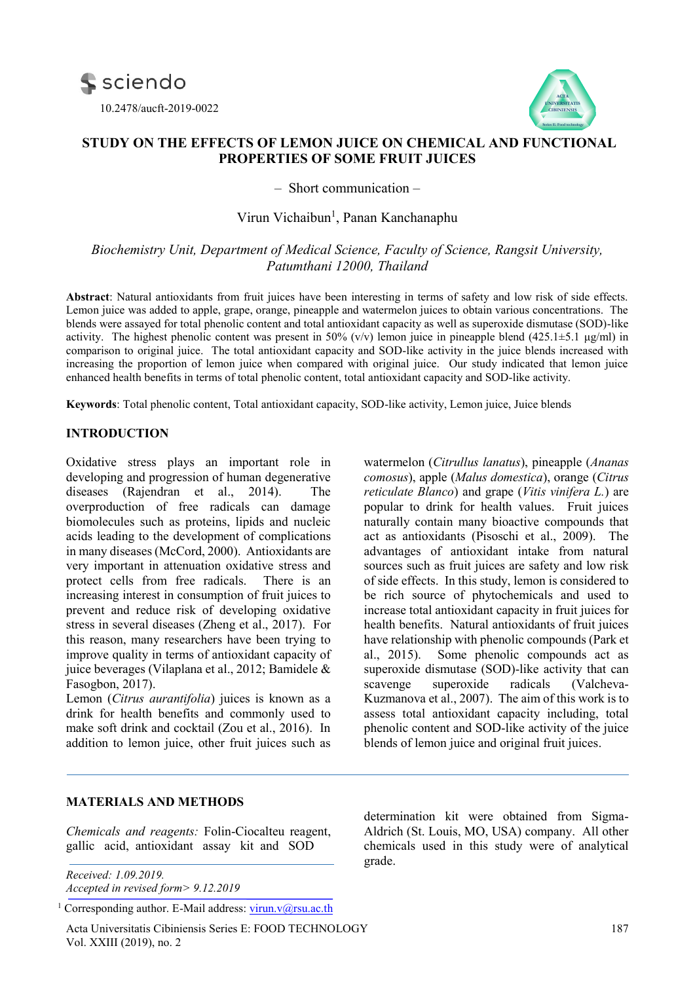



# **STUDY ON THE EFFECTS OF LEMON JUICE ON CHEMICAL AND FUNCTIONAL PROPERTIES OF SOME FRUIT JUICES**

– Short communication –

# Virun Vichaibun<sup>1</sup>, Panan Kanchanaphu

*Biochemistry Unit, Department of Medical Science, Faculty of Science, Rangsit University, Patumthani 12000, Thailand*

**Abstract**: Natural antioxidants from fruit juices have been interesting in terms of safety and low risk of side effects. Lemon juice was added to apple, grape, orange, pineapple and watermelon juices to obtain various concentrations. The blends were assayed for total phenolic content and total antioxidant capacity as well as superoxide dismutase (SOD)-like activity. The highest phenolic content was present in 50%  $(v/v)$  lemon juice in pineapple blend (425.1±5.1 μg/ml) in comparison to original juice. The total antioxidant capacity and SOD-like activity in the juice blends increased with increasing the proportion of lemon juice when compared with original juice. Our study indicated that lemon juice enhanced health benefits in terms of total phenolic content, total antioxidant capacity and SOD-like activity.

**Keywords**: Total phenolic content, Total antioxidant capacity, SOD-like activity, Lemon juice, Juice blends

# **INTRODUCTION**

Oxidative stress plays an important role in developing and progression of human degenerative diseases (Rajendran et al., 2014). The overproduction of free radicals can damage biomolecules such as proteins, lipids and nucleic acids leading to the development of complications in many diseases (McCord, 2000). Antioxidants are very important in attenuation oxidative stress and protect cells from free radicals. There is an increasing interest in consumption of fruit juices to prevent and reduce risk of developing oxidative stress in several diseases [\(Zheng](https://www.mdpi.com/search?authors=Jie%20Zheng&orcid=) et al., 2017). For this reason, many researchers have been trying to improve quality in terms of antioxidant capacity of juice beverages (Vilaplana et al., 2012; Bamidele & Fasogbon, 2017).

Lemon (*Citrus aurantifolia*) juices is known as a drink for health benefits and commonly used to make soft drink and cocktail (Zou et al., 2016). In addition to lemon juice, other fruit juices such as watermelon (*Citrullus lanatus*), pineapple (*Ananas comosus*), apple (*Malus domestica*), orange (*Citrus reticulate Blanco*) and grape (*Vitis vinifera L.*) are popular to drink for health values. Fruit juices naturally contain many bioactive compounds that act as antioxidants (Pisoschi et al., 2009). The advantages of antioxidant intake from natural sources such as fruit juices are safety and low risk of side effects. In this study, lemon is considered to be rich source of phytochemicals and used to increase total antioxidant capacity in fruit juices for health benefits. Natural antioxidants of fruit juices have relationship with phenolic compounds (Park et al., 2015). Some phenolic compounds act as superoxide dismutase (SOD)-like activity that can scavenge superoxide radicals (Valcheva-Kuzmanova et al., 2007). The aim of this work is to assess total antioxidant capacity including, total phenolic content and SOD-like activity of the juice blends of lemon juice and original fruit juices.

#### **MATERIALS AND METHODS**

*Chemicals and reagents:* Folin-Ciocalteu reagent, gallic acid, antioxidant assay kit and SOD

*Received: 1.09.2019. Accepted in revised form> 9.12.2019*

<sup>1</sup> Corresponding author. E-Mail address: [virun.v@rsu.ac.th](mailto:virun.v@rsu.ac.th)

Acta Universitatis Cibiniensis Series E: FOOD TECHNOLOGY 187 Vol. XXIII (2019), no. 2

determination kit were obtained from Sigma-Aldrich (St. Louis, MO, USA) company. All other chemicals used in this study were of analytical grade.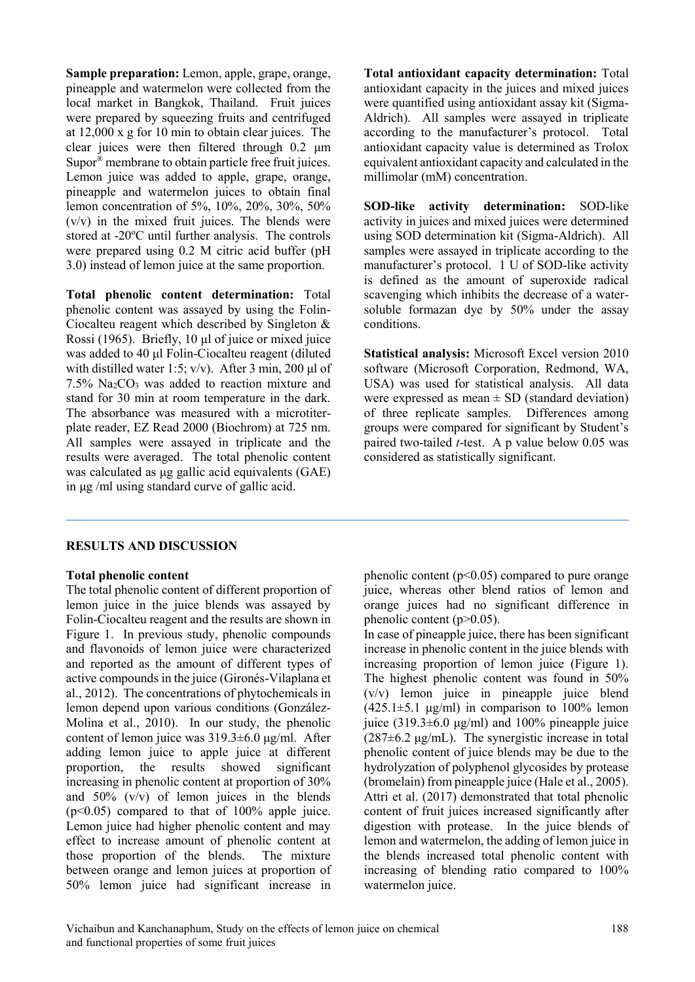**Sample preparation:** Lemon, apple, grape, orange, pineapple and watermelon were collected from the local market in Bangkok, Thailand. Fruit juices were prepared by squeezing fruits and centrifuged at 12,000 x g for 10 min to obtain clear juices. The clear juices were then filtered through 0.2 μm Supor® membrane to obtain particle free fruit juices. Lemon juice was added to apple, grape, orange, pineapple and watermelon juices to obtain final lemon concentration of 5%, 10%, 20%, 30%, 50% (v/v) in the mixed fruit juices. The blends were stored at -20ºC until further analysis. The controls were prepared using 0.2 M citric acid buffer (pH 3.0) instead of lemon juice at the same proportion.

**Total phenolic content determination:** Total phenolic content was assayed by using the Folin-Ciocalteu reagent which described by Singleton & Rossi (1965). Briefly, 10 μl of juice or mixed juice was added to 40 µl Folin-Ciocalteu reagent (diluted with distilled water 1:5;  $v/v$ ). After 3 min, 200 μl of  $7.5\%$  Na<sub>2</sub>CO<sub>3</sub> was added to reaction mixture and stand for 30 min at room temperature in the dark. The absorbance was measured with a microtiterplate reader, EZ Read 2000 (Biochrom) at 725 nm. All samples were assayed in triplicate and the results were averaged. The total phenolic content was calculated as μg gallic acid equivalents (GAE) in μg /ml using standard curve of gallic acid.

**Total antioxidant capacity determination:** Total antioxidant capacity in the juices and mixed juices were quantified using antioxidant assay kit (Sigma-Aldrich). All samples were assayed in triplicate according to the manufacturer's protocol. Total antioxidant capacity value is determined as Trolox equivalent antioxidant capacity and calculated in the millimolar (mM) concentration.

**SOD-like activity determination:** SOD-like activity in juices and mixed juices were determined using SOD determination kit (Sigma-Aldrich). All samples were assayed in triplicate according to the manufacturer's protocol. 1 U of SOD-like activity is defined as the amount of superoxide radical scavenging which inhibits the decrease of a watersoluble formazan dye by 50% under the assay conditions.

**Statistical analysis:** Microsoft Excel version 2010 software (Microsoft Corporation, Redmond, WA, USA) was used for statistical analysis. All data were expressed as mean  $\pm$  SD (standard deviation) of three replicate samples. Differences among groups were compared for significant by Student's paired two-tailed *t*-test. A p value below 0.05 was considered as statistically significant.

# **RESULTS AND DISCUSSION**

### **Total phenolic content**

The total phenolic content of different proportion of lemon juice in the juice blends was assayed by Folin-Ciocalteu reagent and the results are shown in Figure 1. In previous study, phenolic compounds and flavonoids of lemon juice were characterized and reported as the amount of different types of active compounds in the juice (Gironés-Vilaplana et al., 2012). The concentrations of phytochemicals in lemon depend upon various conditions (González-Molina et al., 2010). In our study, the phenolic content of lemon juice was 319.3±6.0 μg/ml. After adding lemon juice to apple juice at different proportion, the results showed significant increasing in phenolic content at proportion of 30% and 50% (v/v) of lemon juices in the blends  $(p<0.05)$  compared to that of 100% apple juice. Lemon juice had higher phenolic content and may effect to increase amount of phenolic content at those proportion of the blends. The mixture between orange and lemon juices at proportion of 50% lemon juice had significant increase in phenolic content ( $p<0.05$ ) compared to pure orange juice, whereas other blend ratios of lemon and orange juices had no significant difference in phenolic content  $(p>0.05)$ .

In case of pineapple juice, there has been significant increase in phenolic content in the juice blends with increasing proportion of lemon juice (Figure 1). The highest phenolic content was found in 50% (v/v) lemon juice in pineapple juice blend  $(425.1\pm5.1 \text{ µg/ml})$  in comparison to 100% lemon juice (319.3±6.0 μg/ml) and 100% pineapple juice  $(287±6.2 \text{ µg/mL})$ . The synergistic increase in total phenolic content of juice blends may be due to the hydrolyzation of polyphenol glycosides by protease (bromelain) from pineapple juice (Hale et al., 2005). Attri et al. (2017) demonstrated that total phenolic content of fruit juices increased significantly after digestion with protease. In the juice blends of lemon and watermelon, the adding of lemon juice in the blends increased total phenolic content with increasing of blending ratio compared to 100% watermelon juice.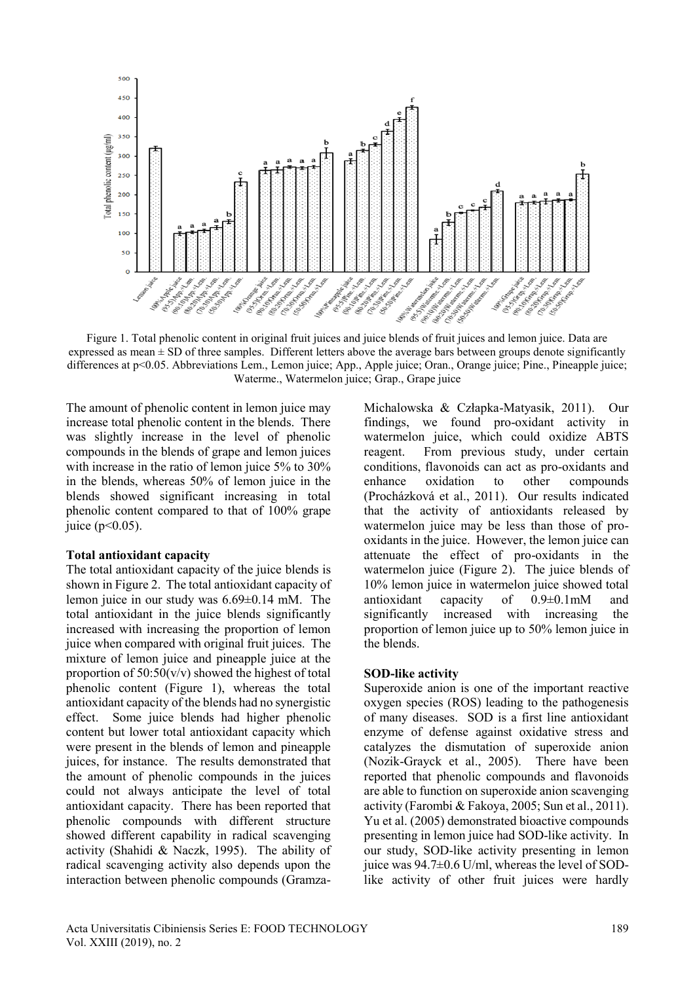

Figure 1. Total phenolic content in original fruit juices and juice blends of fruit juices and lemon juice. Data are expressed as mean  $\pm$  SD of three samples. Different letters above the average bars between groups denote significantly differences at p<0.05. Abbreviations Lem., Lemon juice; App., Apple juice; Oran., Orange juice; Pine., Pineapple juice; Waterme., Watermelon juice; Grap., Grape juice

The amount of phenolic content in lemon juice may increase total phenolic content in the blends. There was slightly increase in the level of phenolic compounds in the blends of grape and lemon juices with increase in the ratio of lemon juice 5% to 30% in the blends, whereas 50% of lemon juice in the blends showed significant increasing in total phenolic content compared to that of 100% grape juice ( $p < 0.05$ ).

#### **Total antioxidant capacity**

The total antioxidant capacity of the juice blends is shown in Figure 2. The total antioxidant capacity of lemon juice in our study was 6.69±0.14 mM. The total antioxidant in the juice blends significantly increased with increasing the proportion of lemon juice when compared with original fruit juices. The mixture of lemon juice and pineapple juice at the proportion of 50:50(v/v) showed the highest of total phenolic content (Figure 1), whereas the total antioxidant capacity of the blends had no synergistic effect. Some juice blends had higher phenolic content but lower total antioxidant capacity which were present in the blends of lemon and pineapple juices, for instance. The results demonstrated that the amount of phenolic compounds in the juices could not always anticipate the level of total antioxidant capacity. There has been reported that phenolic compounds with different structure showed different capability in radical scavenging activity (Shahidi & Naczk, 1995). The ability of radical scavenging activity also depends upon the interaction between phenolic compounds (GramzaMichalowska & Człapka-Matyasik, 2011). Our findings, we found pro-oxidant activity in watermelon juice, which could oxidize ABTS reagent. From previous study, under certain conditions, flavonoids can act as pro-oxidants and enhance oxidation to other compounds (Procházková et al., 2011). Our results indicated that the activity of antioxidants released by watermelon juice may be less than those of prooxidants in the juice. However, the lemon juice can attenuate the effect of pro-oxidants in the watermelon juice (Figure 2). The juice blends of 10% lemon juice in watermelon juice showed total antioxidant capacity of 0.9±0.1mM and significantly increased with increasing the proportion of lemon juice up to 50% lemon juice in the blends.

### **SOD-like activity**

Superoxide anion is one of the important reactive oxygen species (ROS) leading to the pathogenesis of many diseases. SOD is a first line antioxidant enzyme of defense against oxidative stress and catalyzes the dismutation of superoxide anion (Nozik-Grayck et al., 2005). There have been reported that phenolic compounds and flavonoids are able to function on superoxide anion scavenging activity (Farombi & Fakoya, 2005; Sun et al., 2011). Yu et al. (2005) demonstrated bioactive compounds presenting in lemon juice had SOD-like activity. In our study, SOD-like activity presenting in lemon juice was 94.7±0.6 U/ml, whereas the level of SODlike activity of other fruit juices were hardly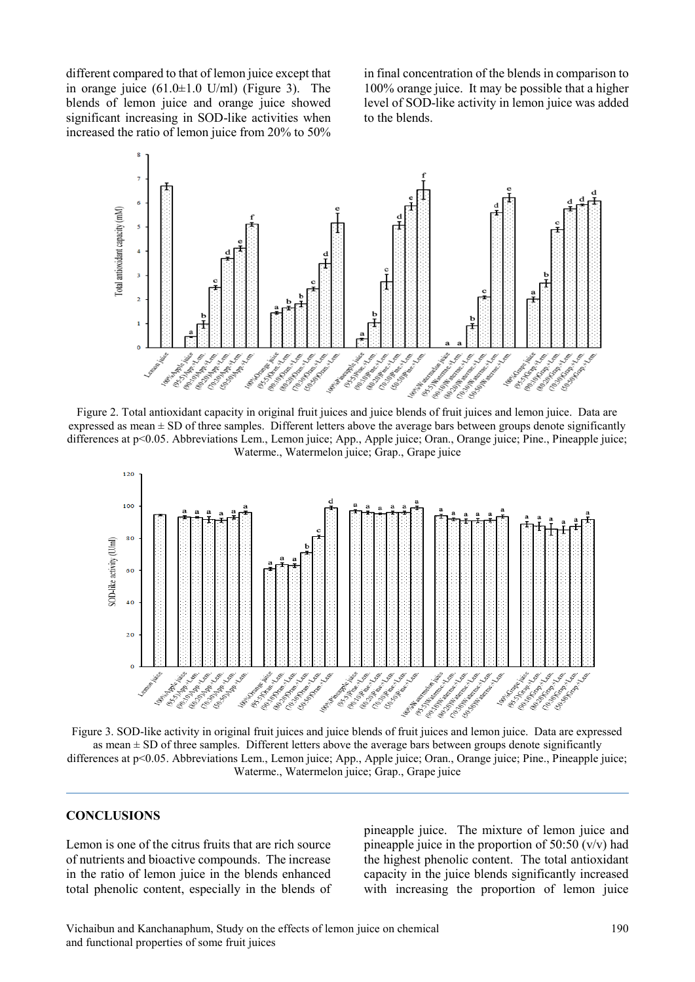different compared to that of lemon juice except that in orange juice  $(61.0 \pm 1.0 \text{ U/ml})$  (Figure 3). The blends of lemon juice and orange juice showed significant increasing in SOD-like activities when increased the ratio of lemon juice from 20% to 50%

in final concentration of the blends in comparison to 100% orange juice. It may be possible that a higher level of SOD-like activity in lemon juice was added to the blends.



expressed as mean  $\pm$  SD of three samples. Different letters above the average bars between groups denote significantly differences at p<0.05. Abbreviations Lem., Lemon juice; App., Apple juice; Oran., Orange juice; Pine., Pineapple juice; Waterme., Watermelon juice; Grap., Grape juice



as mean  $\pm$  SD of three samples. Different letters above the average bars between groups denote significantly differences at p<0.05. Abbreviations Lem., Lemon juice; App., Apple juice; Oran., Orange juice; Pine., Pineapple juice; Waterme., Watermelon juice; Grap., Grape juice

## **CONCLUSIONS**

Lemon is one of the citrus fruits that are rich source of nutrients and bioactive compounds. The increase in the ratio of lemon juice in the blends enhanced total phenolic content, especially in the blends of pineapple juice. The mixture of lemon juice and pineapple juice in the proportion of  $50:50$  (v/v) had the highest phenolic content. The total antioxidant capacity in the juice blends significantly increased with increasing the proportion of lemon juice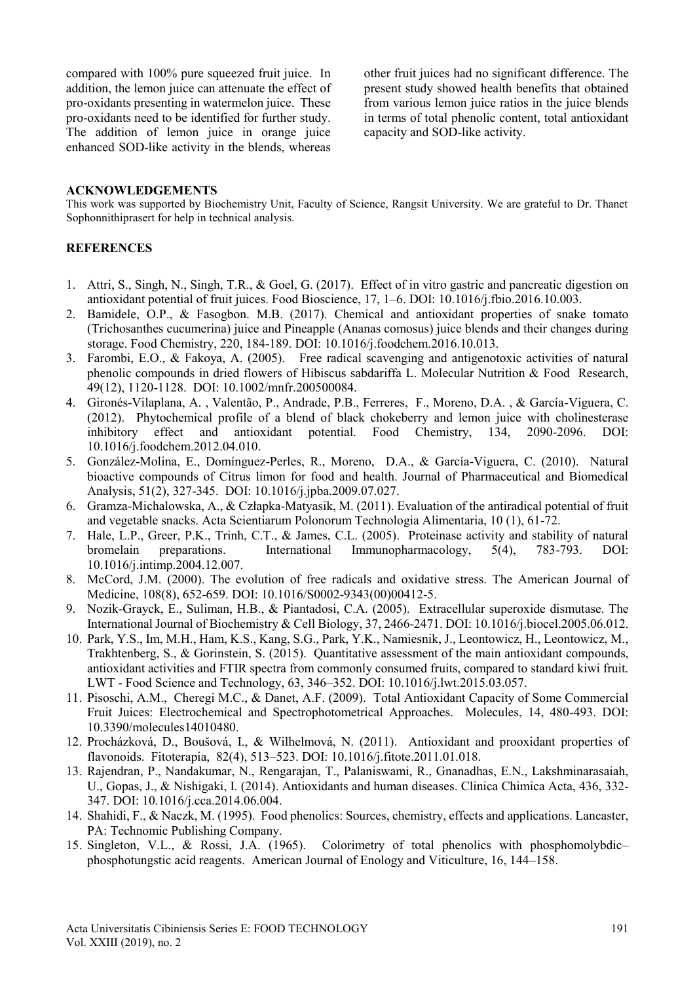compared with 100% pure squeezed fruit juice. In addition, the lemon juice can attenuate the effect of pro-oxidants presenting in watermelon juice. These pro-oxidants need to be identified for further study. The addition of lemon juice in orange juice enhanced SOD-like activity in the blends, whereas other fruit juices had no significant difference. The present study showed health benefits that obtained from various lemon juice ratios in the juice blends in terms of total phenolic content, total antioxidant capacity and SOD-like activity.

#### **ACKNOWLEDGEMENTS**

This work was supported by Biochemistry Unit, Faculty of Science, Rangsit University. We are grateful to Dr. Thanet Sophonnithiprasert for help in technical analysis.

## **REFERENCES**

- 1. Attri, S., Singh, N., Singh, T.R., & Goel, G. (2017). Effect of in vitro gastric and pancreatic digestion on antioxidant potential of fruit juices. Food Bioscience, 17, 1–6. DOI: 10.1016/j.fbio.2016.10.003.
- 2. Bamidele, O.P., & Fasogbon. M.B. (2017). Chemical and antioxidant properties of snake tomato (Trichosanthes cucumerina) juice and Pineapple (Ananas comosus) juice blends and their changes during storage. Food Chemistry, 220, 184-189. DOI: 10.1016/j.foodchem.2016.10.013.
- 3. Farombi, E.O., & Fakoya, A. (2005). Free radical scavenging and antigenotoxic activities of natural phenolic compounds in dried flowers of Hibiscus sabdariffa L. Molecular Nutrition & Food Research, 49(12), 1120-1128. DOI: 10.1002/mnfr.200500084.
- 4. Gironés-Vilaplana, A. , Valentão, P., Andrade, P.B., Ferreres, F., Moreno, D.A. , & García-Viguera, C. (2012). Phytochemical profile of a blend of black chokeberry and lemon juice with cholinesterase inhibitory effect and antioxidant potential. Food Chemistry, 134, 2090-2096. DOI: 10.1016/j.foodchem.2012.04.010.
- 5. González-Molina, E., Domínguez-Perles, R., Moreno, D.A., & García-Viguera, C. (2010). Natural bioactive compounds of Citrus limon for food and health. Journal of Pharmaceutical and Biomedical Analysis, 51(2), 327-345. DOI: 10.1016/j.jpba.2009.07.027.
- 6. Gramza-Michalowska, A., & Człapka-Matyasik, M. (2011). Evaluation of the antiradical potential of fruit and vegetable snacks. Acta Scientiarum Polonorum Technologia Alimentaria, 10 (1), 61-72.
- 7. Hale, L.P., Greer, P.K., Trinh, C.T., & James, C.L. (2005). Proteinase activity and stability of natural bromelain preparations. International Immunopharmacology, 5(4), 783-793. DOI: 10.1016/j.intimp.2004.12.007.
- 8. McCord, J.M. (2000). The evolution of free radicals and oxidative stress. The American Journal of Medicine, 108(8), 652-659. DOI: 10.1016/S0002-9343(00)00412-5.
- 9. Nozik-Grayck, E., Suliman, H.B., & Piantadosi, C.A. (2005). Extracellular superoxide dismutase. The International Journal of Biochemistry & Cell Biology, 37, 2466-2471. DOI: 10.1016/j.biocel.2005.06.012.
- 10. Park, Y.S., Im, M.H., Ham, K.S., Kang, S.G., Park, Y.K., Namiesnik, J., Leontowicz, H., Leontowicz, M., Trakhtenberg, S., & Gorinstein, S. (2015). Quantitative assessment of the main antioxidant compounds, antioxidant activities and FTIR spectra from commonly consumed fruits, compared to standard kiwi fruit. LWT - Food Science and Technology, 63, 346–352. DOI: 10.1016/j.lwt.2015.03.057.
- 11. Pisoschi, A.M., Cheregi M.C., & Danet, A.F. (2009). Total Antioxidant Capacity of Some Commercial Fruit Juices: Electrochemical and Spectrophotometrical Approaches. Molecules, 14, 480-493. DOI: 10.3390/molecules14010480.
- 12. Procházková, D., Boušová, I., & Wilhelmová, N. (2011). Antioxidant and prooxidant properties of flavonoids. Fitoterapia, 82(4), 513–523. DOI: 10.1016/j.fitote.2011.01.018.
- 13. Rajendran, P., Nandakumar, N., Rengarajan, T., Palaniswami, R., Gnanadhas, E.N., Lakshminarasaiah, U., Gopas, J., & Nishigaki, I. (2014). Antioxidants and human diseases. Clinica Chimica Acta, 436, 332- 347. DOI: 10.1016/j.cca.2014.06.004.
- 14. Shahidi, F., & Naczk, M. (1995). Food phenolics: Sources, chemistry, effects and applications. Lancaster, PA: Technomic Publishing Company.
- 15. Singleton, V.L., & Rossi, J.A. (1965). Colorimetry of total phenolics with phosphomolybdic– phosphotungstic acid reagents. American Journal of Enology and Viticulture, 16, 144–158.